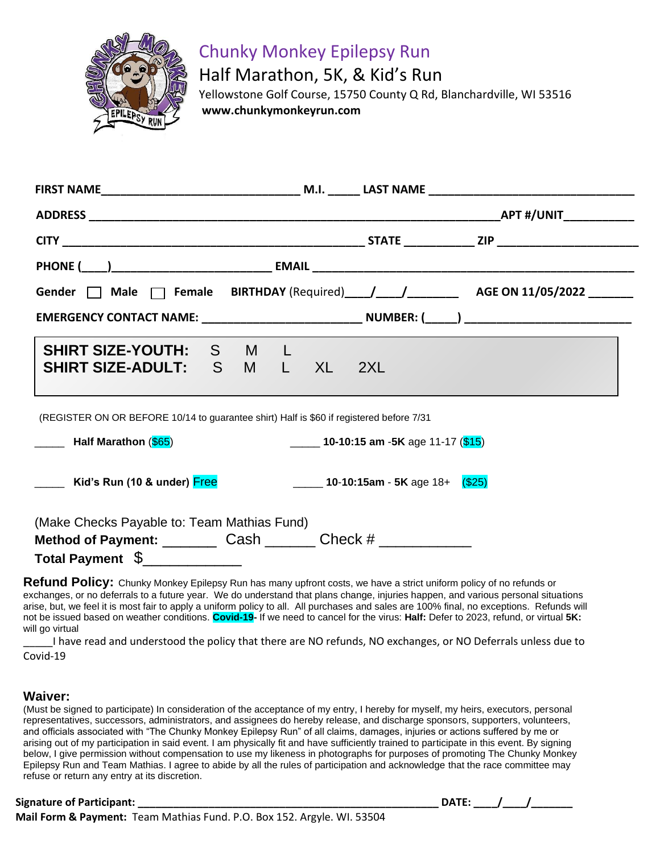

## Chunky Monkey Epilepsy Run

Half Marathon, 5K, & Kid's Run

 Yellowstone Golf Course, 15750 County Q Rd, Blanchardville, WI 53516 **www.chunkymonkeyrun.com**

|                                                                                                                        |                                                | _APT #/UNIT_____________ |
|------------------------------------------------------------------------------------------------------------------------|------------------------------------------------|--------------------------|
|                                                                                                                        |                                                |                          |
|                                                                                                                        |                                                |                          |
| Gender $\Box$ Male $\Box$ Female BIRTHDAY (Required) $\Box$ / ____/ _______ AGE ON 11/05/2022 ______                   |                                                |                          |
| EMERGENCY CONTACT NAME: _________________________________ NUMBER: (_____) __________________________                   |                                                |                          |
| SHIRT SIZE-YOUTH: S M L<br>SHIRT SIZE-ADULT: S M L XL 2XL                                                              |                                                |                          |
| (REGISTER ON OR BEFORE 10/14 to guarantee shirt) Half is \$60 if registered before 7/31<br>______ Half Marathon (\$65) | $\frac{1}{2}$ 10-10:15 am -5K age 11-17 (\$15) |                          |
| <b>Example 20 Example 20 Example 20 Example 20 Example 20 Example 20 Example 20 Example 20 Example 20 E</b> Control Ca |                                                |                          |
| (Make Checks Payable to: Team Mathias Fund)                                                                            |                                                |                          |
| Method of Payment: Cash Cash Check #                                                                                   |                                                |                          |
|                                                                                                                        |                                                |                          |

**Refund Policy:** Chunky Monkey Epilepsy Run has many upfront costs, we have a strict uniform policy of no refunds or exchanges, or no deferrals to a future year. We do understand that plans change, injuries happen, and various personal situations arise, but, we feel it is most fair to apply a uniform policy to all. All purchases and sales are 100% final, no exceptions. Refunds will not be issued based on weather conditions. **Covid-19-** If we need to cancel for the virus: **Half:** Defer to 2023, refund, or virtual **5K:**  will go virtual

I have read and understood the policy that there are NO refunds, NO exchanges, or NO Deferrals unless due to Covid-19

## **Waiver:**

(Must be signed to participate) In consideration of the acceptance of my entry, I hereby for myself, my heirs, executors, personal representatives, successors, administrators, and assignees do hereby release, and discharge sponsors, supporters, volunteers, and officials associated with "The Chunky Monkey Epilepsy Run" of all claims, damages, injuries or actions suffered by me or arising out of my participation in said event. I am physically fit and have sufficiently trained to participate in this event. By signing below, I give permission without compensation to use my likeness in photographs for purposes of promoting The Chunky Monkey Epilepsy Run and Team Mathias. I agree to abide by all the rules of participation and acknowledge that the race committee may refuse or return any entry at its discretion.

| DAT |  |  |  |
|-----|--|--|--|
|-----|--|--|--|